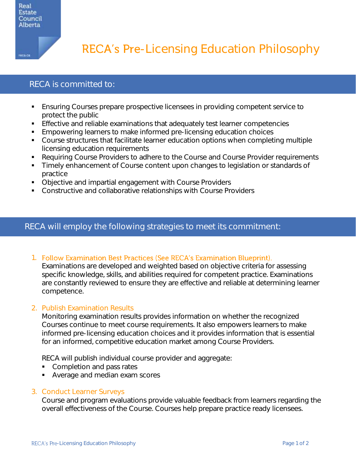

reca.ca

RECA's Pre-Licensing Education Philosophy

# RECA is committed to:

- Ensuring Courses prepare prospective licensees in providing competent service to protect the public
- Effective and reliable examinations that adequately test learner competencies
- Empowering learners to make informed pre-licensing education choices
- Course structures that facilitate learner education options when completing multiple licensing education requirements
- Requiring Course Providers to adhere to the Course and Course Provider requirements
- Timely enhancement of Course content upon changes to legislation or standards of practice
- Objective and impartial engagement with Course Providers
- Constructive and collaborative relationships with Course Providers

## RECA will employ the following strategies to meet its commitment:

1. Follow Examination Best Practices (See RECA's Examination Blueprint).

Examinations are developed and weighted based on objective criteria for assessing specific knowledge, skills, and abilities required for competent practice. Examinations are constantly reviewed to ensure they are effective and reliable at determining learner competence.

### 2. Publish Examination Results

Monitoring examination results provides information on whether the recognized Courses continue to meet course requirements. It also empowers learners to make informed pre-licensing education choices and it provides information that is essential for an informed, competitive education market among Course Providers.

RECA will publish individual course provider and aggregate:

- Completion and pass rates
- Average and median exam scores

#### 3. Conduct Learner Surveys

Course and program evaluations provide valuable feedback from learners regarding the overall effectiveness of the Course. Courses help prepare practice ready licensees.